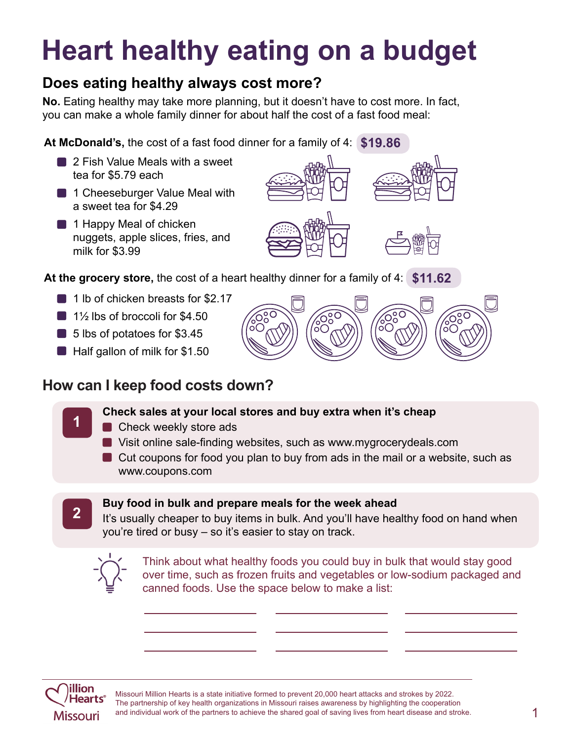# **Heart healthy eating on a budget**

# **Does eating healthy always cost more?**

**No.** Eating healthy may take more planning, but it doesn't have to cost more. In fact, you can make a whole family dinner for about half the cost of a fast food meal:

**At McDonald's,** the cost of a fast food dinner for a family of 4: **\$19.86**

- **2 Fish Value Meals with a sweet** tea for \$5.79 each
- **1** 1 Cheeseburger Value Meal with a sweet tea for \$4.29
- **1 Happy Meal of chicken** nuggets, apple slices, fries, and milk for \$3.99



ဴး

**At the grocery store,** the cost of a heart healthy dinner for a family of 4: **\$11.62**

- 1 lb of chicken breasts for \$2.17
- $\Box$  1<sup>1</sup>/<sub>2</sub> lbs of broccoli for \$4.50
- 5 lbs of potatoes for \$3.45
- Half gallon of milk for \$1.50

### **How can I keep food costs down?**

#### **<sup>1</sup> Check sales at your local stores and buy extra when it's cheap**

- Check weekly store ads
- Visit online sale-finding websites, such as www.mygrocerydeals.com
- Cut coupons for food you plan to buy from ads in the mail or a website, such as www.coupons.com



# **2 Buy food in bulk and prepare meals for the week ahead**<br>**2 Buy food in bulk and you'll have be**

It's usually cheaper to buy items in bulk. And you'll have healthy food on hand when you're tired or busy – so it's easier to stay on track.



Think about what healthy foods you could buy in bulk that would stay good over time, such as frozen fruits and vegetables or low-sodium packaged and canned foods. Use the space below to make a list:



Missouri Million Hearts is a state initiative formed to prevent 20,000 heart attacks and strokes by 2022. The partnership of key health organizations in Missouri raises awareness by highlighting the cooperation and individual work of the partners to achieve the shared goal of saving lives from heart disease and stroke.